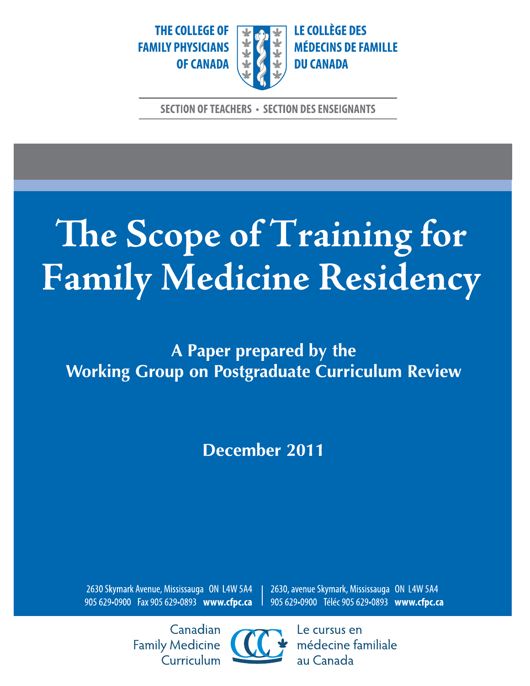THE COLLEGE OF **FAMILY PHYSICIANS OF CANADA** 



LE COLLÈGE DES **MÉDECINS DE FAMILLE DU CANADA** 

**SECTION OF TEACHERS · SECTION DES ENSEIGNANTS** 

# The Scope of Training for Family Medicine Residency

A Paper prepared by the **Working Group on Postgraduate Curriculum Review** 

December 2011

2630 Skymark Avenue, Mississauga ON L4W 5A4 905 629-0900 Fax 905 629-0893 www.cfpc.ca 2630, avenue Skymark, Mississauga ON L4W 5A4 905 629•0900 Téléc 905 629•0893 www.cfpc.ca

Canadian **Family Medicine** Curriculum



Le cursus en médecine familiale au Canada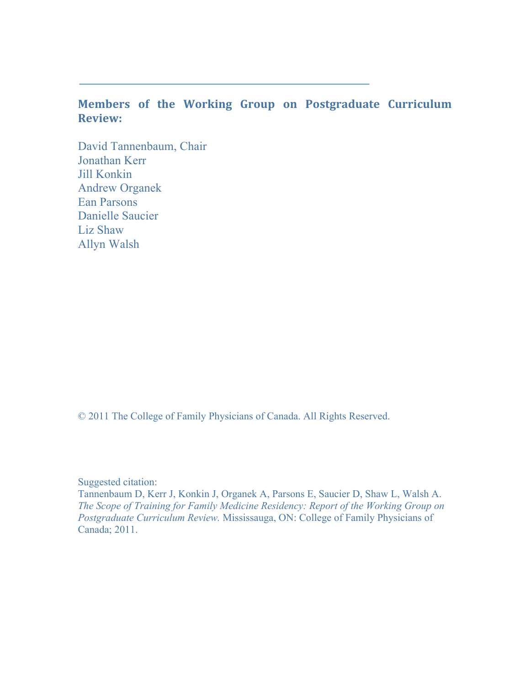#### **Members of the Working Group on Postgraduate Curriculum Review:**

 David Tannenbaum, Chair Jonathan Kerr Jill Konkin Andrew Organek Ean Parsons Danielle Saucier Liz Shaw Allyn Walsh

© 2011 The College of Family Physicians of Canada. All Rights Reserved.

Suggested citation:

 Tannenbaum D, Kerr J, Konkin J, Organek A, Parsons E, Saucier D, Shaw L, Walsh A. *The Scope of Training for Family Medicine Residency: Report of the Working Group on Postgraduate Curriculum Review.* Mississauga, ON: College of Family Physicians of Canada; 2011.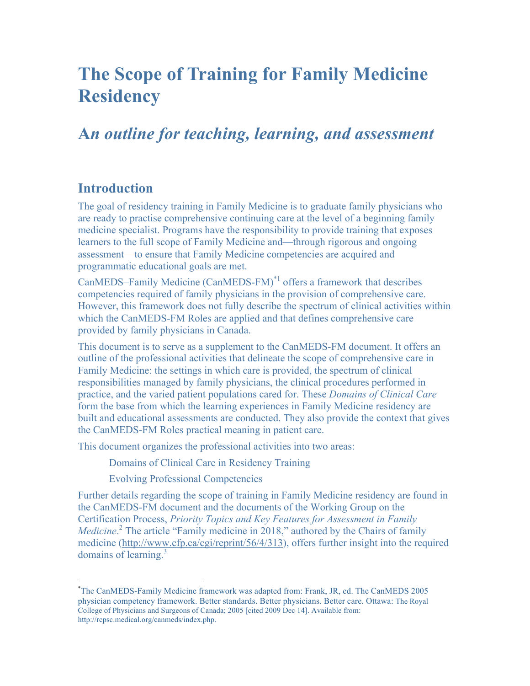## **The Scope of Training for Family Medicine Residency**

## **A***n outline for teaching, learning, and assessment*

#### **Introduction**

 $\overline{a}$ 

The goal of residency training in Family Medicine is to graduate family physicians who are ready to practise comprehensive continuing care at the level of a beginning family medicine specialist. Programs have the responsibility to provide training that exposes learners to the full scope of Family Medicine and—through rigorous and ongoing assessment—to ensure that Family Medicine competencies are acquired and programmatic educational goals are met.

CanMEDS–Family Medicine (CanMEDS-FM)\*1 offers a framework that describes competencies required of family physicians in the provision of comprehensive care. However, this framework does not fully describe the spectrum of clinical activities within which the CanMEDS-FM Roles are applied and that defines comprehensive care provided by family physicians in Canada.

This document is to serve as a supplement to the CanMEDS-FM document. It offers an outline of the professional activities that delineate the scope of comprehensive care in Family Medicine: the settings in which care is provided, the spectrum of clinical responsibilities managed by family physicians, the clinical procedures performed in practice, and the varied patient populations cared for. These *Domains of Clinical Care*  form the base from which the learning experiences in Family Medicine residency are built and educational assessments are conducted. They also provide the context that gives the CanMEDS-FM Roles practical meaning in patient care.

This document organizes the professional activities into two areas:

Domains of Clinical Care in Residency Training

Evolving Professional Competencies

Further details regarding the scope of training in Family Medicine residency are found in the CanMEDS-FM document and the documents of the Working Group on the Certification Process, *Priority Topics and Key Features for Assessment in Family*  Medicine.<sup>2</sup> The article "Family medicine in 2018," authored by the Chairs of family medicine [\(http://www.cfp.ca/cgi/reprint/56/4/313](http://www.cfp.ca/cgi/reprint/56/4/313)), offers further insight into the required domains of learning. $3$ 

 physician competency framework. Better standards. Better physicians. Better care. Ottawa: The Royal College of Physicians and Surgeons of Canada; 2005 [cited 2009 Dec 14]. Available from: \* The CanMEDS-Family Medicine framework was adapted from: Frank, JR, ed. The CanMEDS 2005 [http://rcpsc.medical.org/canmeds/index.php.](http://rcpsc.medical.org/canmeds/index.php)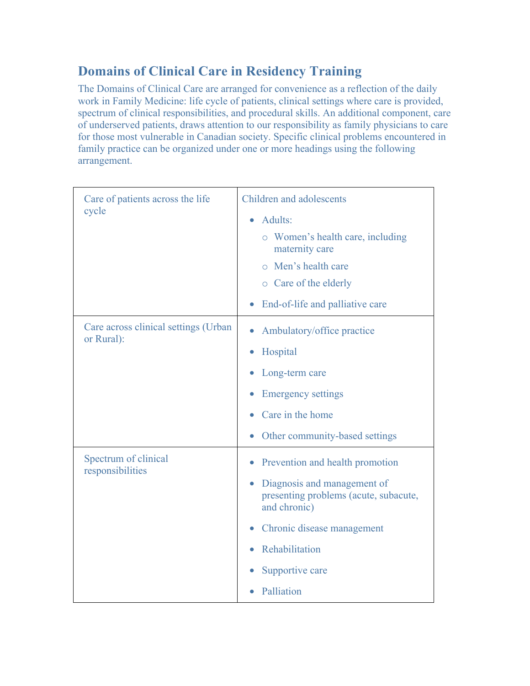## **Domains of Clinical Care in Residency Training**

The Domains of Clinical Care are arranged for convenience as a reflection of the daily work in Family Medicine: life cycle of patients, clinical settings where care is provided, spectrum of clinical responsibilities, and procedural skills. An additional component, care of underserved patients, draws attention to our responsibility as family physicians to care for those most vulnerable in Canadian society. Specific clinical problems encountered in family practice can be organized under one or more headings using the following arrangement.

| Care of patients across the life<br>cycle          | Children and adolescents                                                                          |  |
|----------------------------------------------------|---------------------------------------------------------------------------------------------------|--|
|                                                    | Adults:<br>$\bullet$                                                                              |  |
|                                                    | • Women's health care, including<br>maternity care                                                |  |
|                                                    | o Men's health care                                                                               |  |
|                                                    | o Care of the elderly                                                                             |  |
|                                                    | End-of-life and palliative care                                                                   |  |
| Care across clinical settings (Urban<br>or Rural): | Ambulatory/office practice                                                                        |  |
|                                                    | Hospital<br>$\bullet$                                                                             |  |
|                                                    | Long-term care                                                                                    |  |
|                                                    | <b>Emergency settings</b>                                                                         |  |
|                                                    | Care in the home                                                                                  |  |
|                                                    | Other community-based settings<br>$\bullet$                                                       |  |
| Spectrum of clinical<br>responsibilities           | Prevention and health promotion<br>$\bullet$                                                      |  |
|                                                    | Diagnosis and management of<br>$\bullet$<br>presenting problems (acute, subacute,<br>and chronic) |  |
|                                                    | Chronic disease management                                                                        |  |
|                                                    | Rehabilitation                                                                                    |  |
|                                                    | Supportive care                                                                                   |  |
|                                                    | Palliation                                                                                        |  |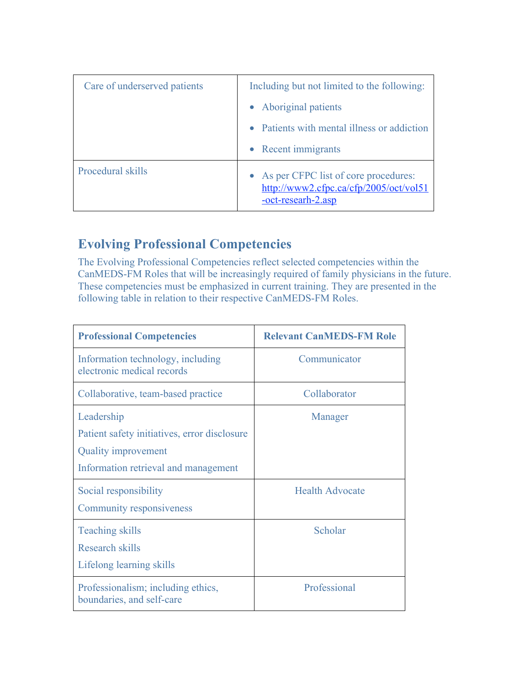| Care of underserved patients | Including but not limited to the following:                                                            |  |
|------------------------------|--------------------------------------------------------------------------------------------------------|--|
|                              | • Aboriginal patients                                                                                  |  |
|                              | Patients with mental illness or addiction                                                              |  |
|                              | • Recent immigrants                                                                                    |  |
| Procedural skills            | • As per CFPC list of core procedures:<br>http://www2.cfpc.ca/cfp/2005/oct/vol51<br>-oct-researh-2.asp |  |

### **Evolving Professional Competencies**

The Evolving Professional Competencies reflect selected competencies within the CanMEDS-FM Roles that will be increasingly required of family physicians in the future. These competencies must be emphasized in current training. They are presented in the following table in relation to their respective CanMEDS-FM Roles.

| <b>Professional Competencies</b>                                                                                                 | <b>Relevant CanMEDS-FM Role</b> |
|----------------------------------------------------------------------------------------------------------------------------------|---------------------------------|
| Information technology, including<br>electronic medical records                                                                  | Communicator                    |
| Collaborative, team-based practice                                                                                               | Collaborator                    |
| Leadership<br>Patient safety initiatives, error disclosure<br><b>Quality improvement</b><br>Information retrieval and management | Manager                         |
| Social responsibility<br><b>Community responsiveness</b>                                                                         | <b>Health Advocate</b>          |
| <b>Teaching skills</b><br>Research skills<br>Lifelong learning skills                                                            | Scholar                         |
| Professionalism; including ethics,<br>boundaries, and self-care                                                                  | Professional                    |